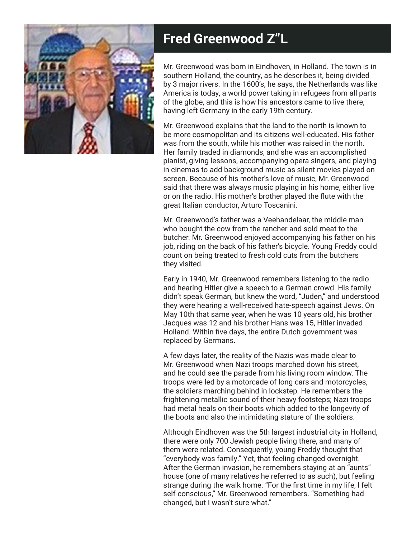

## **Fred Greenwood Z"L**

Mr. Greenwood was born in Eindhoven, in Holland. The town is in southern Holland, the country, as he describes it, being divided by 3 major rivers. In the 1600's, he says, the Netherlands was like America is today, a world power taking in refugees from all parts of the globe, and this is how his ancestors came to live there, having left Germany in the early 19th century.

Mr. Greenwood explains that the land to the north is known to be more cosmopolitan and its citizens well-educated. His father was from the south, while his mother was raised in the north. Her family traded in diamonds, and she was an accomplished pianist, giving lessons, accompanying opera singers, and playing in cinemas to add background music as silent movies played on screen. Because of his mother's love of music, Mr. Greenwood said that there was always music playing in his home, either live or on the radio. His mother's brother played the flute with the great Italian conductor, Arturo Toscanini.

Mr. Greenwood's father was a Veehandelaar, the middle man who bought the cow from the rancher and sold meat to the butcher. Mr. Greenwood enjoyed accompanying his father on his job, riding on the back of his father's bicycle. Young Freddy could count on being treated to fresh cold cuts from the butchers they visited.

Early in 1940, Mr. Greenwood remembers listening to the radio and hearing Hitler give a speech to a German crowd. His family didn't speak German, but knew the word, "Juden," and understood they were hearing a well-received hate-speech against Jews. On May 10th that same year, when he was 10 years old, his brother Jacques was 12 and his brother Hans was 15, Hitler invaded Holland. Within five days, the entire Dutch government was replaced by Germans.

A few days later, the reality of the Nazis was made clear to Mr. Greenwood when Nazi troops marched down his street, and he could see the parade from his living room window. The troops were led by a motorcade of long cars and motorcycles, the soldiers marching behind in lockstep. He remembers the frightening metallic sound of their heavy footsteps; Nazi troops had metal heals on their boots which added to the longevity of the boots and also the intimidating stature of the soldiers.

Although Eindhoven was the 5th largest industrial city in Holland, there were only 700 Jewish people living there, and many of them were related. Consequently, young Freddy thought that "everybody was family." Yet, that feeling changed overnight. After the German invasion, he remembers staying at an "aunts" house (one of many relatives he referred to as such), but feeling strange during the walk home. "For the first time in my life, I felt self-conscious," Mr. Greenwood remembers. "Something had changed, but I wasn't sure what."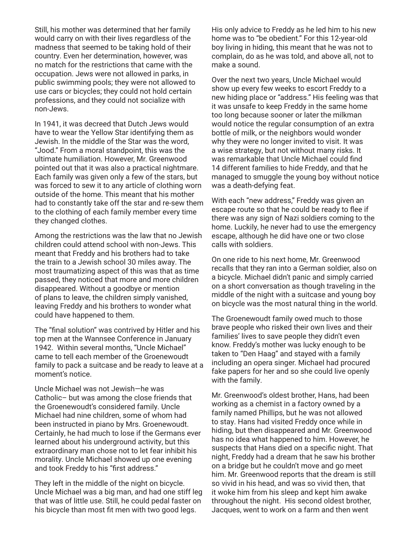Still, his mother was determined that her family would carry on with their lives regardless of the madness that seemed to be taking hold of their country. Even her determination, however, was no match for the restrictions that came with the occupation. Jews were not allowed in parks, in public swimming pools; they were not allowed to use cars or bicycles; they could not hold certain professions, and they could not socialize with non-Jews.

In 1941, it was decreed that Dutch Jews would have to wear the Yellow Star identifying them as Jewish. In the middle of the Star was the word, "Jood." From a moral standpoint, this was the ultimate humiliation. However, Mr. Greenwood pointed out that it was also a practical nightmare. Each family was given only a few of the stars, but was forced to sew it to any article of clothing worn outside of the home. This meant that his mother had to constantly take off the star and re-sew them to the clothing of each family member every time they changed clothes.

Among the restrictions was the law that no Jewish children could attend school with non-Jews. This meant that Freddy and his brothers had to take the train to a Jewish school 30 miles away. The most traumatizing aspect of this was that as time passed, they noticed that more and more children disappeared. Without a goodbye or mention of plans to leave, the children simply vanished, leaving Freddy and his brothers to wonder what could have happened to them.

The "final solution" was contrived by Hitler and his top men at the Wannsee Conference in January 1942. Within several months, "Uncle Michael" came to tell each member of the Groenewoudt family to pack a suitcase and be ready to leave at a moment's notice.

Uncle Michael was not Jewish—he was Catholic– but was among the close friends that the Groenewoudt's considered family. Uncle Michael had nine children, some of whom had been instructed in piano by Mrs. Groenewoudt. Certainly, he had much to lose if the Germans ever learned about his underground activity, but this extraordinary man chose not to let fear inhibit his morality. Uncle Michael showed up one evening and took Freddy to his "first address."

They left in the middle of the night on bicycle. Uncle Michael was a big man, and had one stiff leg that was of little use. Still, he could pedal faster on his bicycle than most fit men with two good legs.

His only advice to Freddy as he led him to his new home was to "be obedient." For this 12-year-old boy living in hiding, this meant that he was not to complain, do as he was told, and above all, not to make a sound.

Over the next two years, Uncle Michael would show up every few weeks to escort Freddy to a new hiding place or "address." His feeling was that it was unsafe to keep Freddy in the same home too long because sooner or later the milkman would notice the regular consumption of an extra bottle of milk, or the neighbors would wonder why they were no longer invited to visit. It was a wise strategy, but not without many risks. It was remarkable that Uncle Michael could find 14 different families to hide Freddy, and that he managed to smuggle the young boy without notice was a death-defying feat.

With each "new address," Freddy was given an escape route so that he could be ready to flee if there was any sign of Nazi soldiers coming to the home. Luckily, he never had to use the emergency escape, although he did have one or two close calls with soldiers.

On one ride to his next home, Mr. Greenwood recalls that they ran into a German soldier, also on a bicycle. Michael didn't panic and simply carried on a short conversation as though traveling in the middle of the night with a suitcase and young boy on bicycle was the most natural thing in the world.

The Groenewoudt family owed much to those brave people who risked their own lives and their families' lives to save people they didn't even know. Freddy's mother was lucky enough to be taken to "Den Haag" and stayed with a family including an opera singer. Michael had procured fake papers for her and so she could live openly with the family.

Mr. Greenwood's oldest brother, Hans, had been working as a chemist in a factory owned by a family named Phillips, but he was not allowed to stay. Hans had visited Freddy once while in hiding, but then disappeared and Mr. Greenwood has no idea what happened to him. However, he suspects that Hans died on a specific night. That night, Freddy had a dream that he saw his brother on a bridge but he couldn't move and go meet him. Mr. Greenwood reports that the dream is still so vivid in his head, and was so vivid then, that it woke him from his sleep and kept him awake throughout the night. His second oldest brother, Jacques, went to work on a farm and then went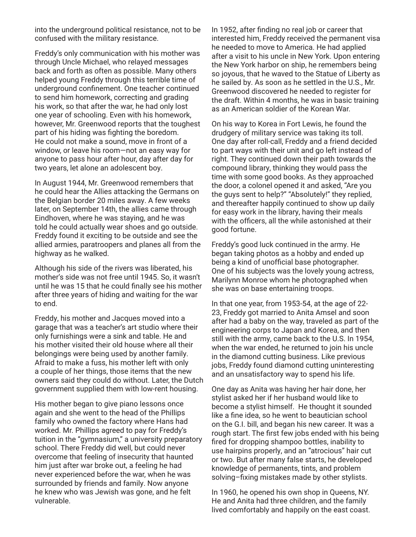into the underground political resistance, not to be confused with the military resistance.

Freddy's only communication with his mother was through Uncle Michael, who relayed messages back and forth as often as possible. Many others helped young Freddy through this terrible time of underground confinement. One teacher continued to send him homework, correcting and grading his work, so that after the war, he had only lost one year of schooling. Even with his homework, however, Mr. Greenwood reports that the toughest part of his hiding was fighting the boredom. He could not make a sound, move in front of a window, or leave his room—not an easy way for anyone to pass hour after hour, day after day for two years, let alone an adolescent boy.

In August 1944, Mr. Greenwood remembers that he could hear the Allies attacking the Germans on the Belgian border 20 miles away. A few weeks later, on September 14th, the allies came through Eindhoven, where he was staying, and he was told he could actually wear shoes and go outside. Freddy found it exciting to be outside and see the allied armies, paratroopers and planes all from the highway as he walked.

Although his side of the rivers was liberated, his mother's side was not free until 1945. So, it wasn't until he was 15 that he could finally see his mother after three years of hiding and waiting for the war to end.

Freddy, his mother and Jacques moved into a garage that was a teacher's art studio where their only furnishings were a sink and table. He and his mother visited their old house where all their belongings were being used by another family. Afraid to make a fuss, his mother left with only a couple of her things, those items that the new owners said they could do without. Later, the Dutch government supplied them with low-rent housing.

His mother began to give piano lessons once again and she went to the head of the Phillips family who owned the factory where Hans had worked. Mr. Phillips agreed to pay for Freddy's tuition in the "gymnasium," a university preparatory school. There Freddy did well, but could never overcome that feeling of insecurity that haunted him just after war broke out, a feeling he had never experienced before the war, when he was surrounded by friends and family. Now anyone he knew who was Jewish was gone, and he felt vulnerable.

In 1952, after finding no real job or career that interested him, Freddy received the permanent visa he needed to move to America. He had applied after a visit to his uncle in New York. Upon entering the New York harbor on ship, he remembers being so joyous, that he waved to the Statue of Liberty as he sailed by. As soon as he settled in the U.S., Mr. Greenwood discovered he needed to register for the draft. Within 4 months, he was in basic training as an American soldier of the Korean War.

On his way to Korea in Fort Lewis, he found the drudgery of military service was taking its toll. One day after roll-call, Freddy and a friend decided to part ways with their unit and go left instead of right. They continued down their path towards the compound library, thinking they would pass the time with some good books. As they approached the door, a colonel opened it and asked, "Are you the guys sent to help?" "Absolutely!" they replied, and thereafter happily continued to show up daily for easy work in the library, having their meals with the officers, all the while astonished at their good fortune.

Freddy's good luck continued in the army. He began taking photos as a hobby and ended up being a kind of unofficial base photographer. One of his subjects was the lovely young actress, Marilynn Monroe whom he photographed when she was on base entertaining troops.

In that one year, from 1953-54, at the age of 22- 23, Freddy got married to Anita Amsel and soon after had a baby on the way, traveled as part of the engineering corps to Japan and Korea, and then still with the army, came back to the U.S. In 1954, when the war ended, he returned to join his uncle in the diamond cutting business. Like previous jobs, Freddy found diamond cutting uninteresting and an unsatisfactory way to spend his life.

One day as Anita was having her hair done, her stylist asked her if her husband would like to become a stylist himself. He thought it sounded like a fine idea, so he went to beautician school on the G.I. bill, and began his new career. It was a rough start. The first few jobs ended with his being fired for dropping shampoo bottles, inability to use hairpins properly, and an "atrocious" hair cut or two. But after many false starts, he developed knowledge of permanents, tints, and problem solving–fixing mistakes made by other stylists.

In 1960, he opened his own shop in Queens, NY. He and Anita had three children, and the family lived comfortably and happily on the east coast.